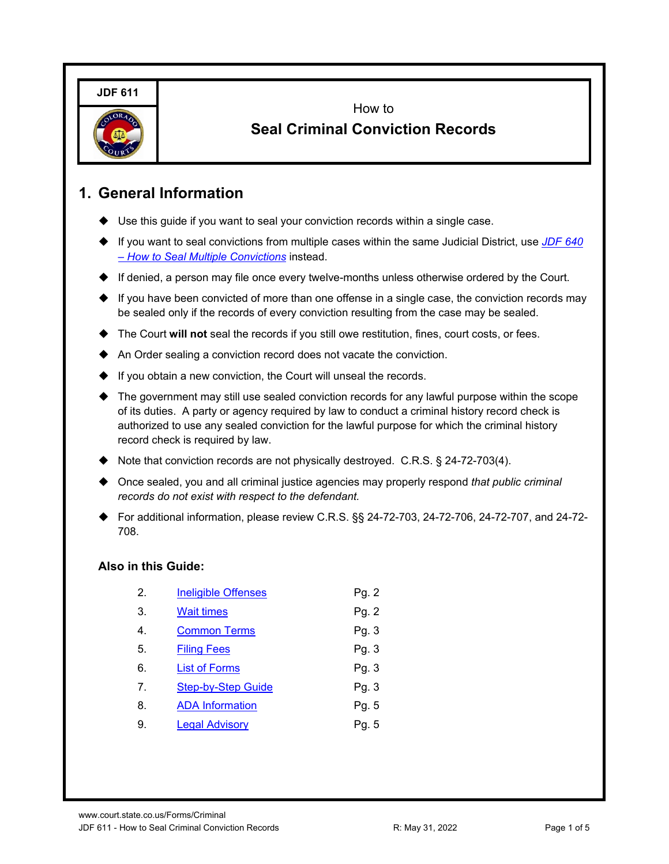**JDF 611**



How to **Seal Criminal Conviction Records**

## **1. General Information**

- Use this guide if you want to seal your conviction records within a single case.
- ◆ If you want to seal convictions from multiple cases within the same Judicial District, use JDF 640 *[– How to Seal Multiple Convictions](https://www.courts.state.co.us/Forms/PDF/JDF640.pdf)* instead.
- $\blacklozenge$  If denied, a person may file once every twelve-months unless otherwise ordered by the Court.
- $\blacklozenge$  If you have been convicted of more than one offense in a single case, the conviction records may be sealed only if the records of every conviction resulting from the case may be sealed.
- The Court **will not** seal the records if you still owe restitution, fines, court costs, or fees.
- An Order sealing a conviction record does not vacate the conviction.
- If you obtain a new conviction, the Court will unseal the records.
- The government may still use sealed conviction records for any lawful purpose within the scope of its duties. A party or agency required by law to conduct a criminal history record check is authorized to use any sealed conviction for the lawful purpose for which the criminal history record check is required by law.
- Note that conviction records are not physically destroyed. C.R.S. § 24-72-703(4).
- Once sealed, you and all criminal justice agencies may properly respond *that public criminal records do not exist with respect to the defendant.*
- For additional information, please review C.R.S. §§ 24-72-703, 24-72-706, 24-72-707, and 24-72- 708.

### **Also in this Guide:**

| <b>Ineligible Offenses</b> | Pg. 2 |
|----------------------------|-------|
| <b>Wait times</b>          | Pg. 2 |
| <b>Common Terms</b>        | Pg. 3 |
| <b>Filing Fees</b>         | Pg. 3 |
| <b>List of Forms</b>       | Pg. 3 |
| <b>Step-by-Step Guide</b>  | Pg. 3 |
| <b>ADA Information</b>     | Pg. 5 |
| <b>Legal Advisory</b>      | Pg. 5 |
|                            |       |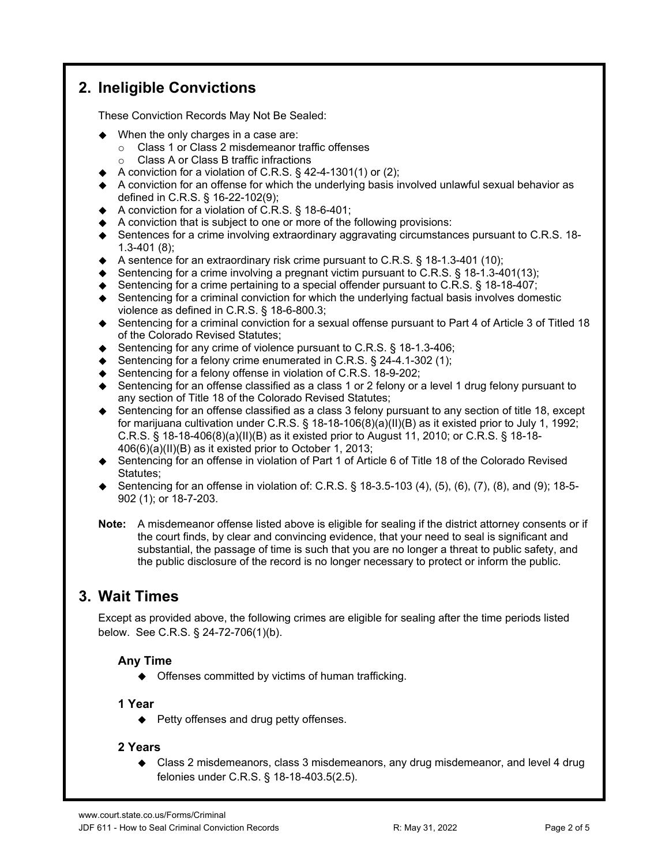# <span id="page-1-0"></span>**2. Ineligible Convictions**

These Conviction Records May Not Be Sealed:

- When the only charges in a case are:
	- o Class 1 or Class 2 misdemeanor traffic offenses
	- o Class A or Class B traffic infractions
- $\blacklozenge$  A conviction for a violation of C.R.S. § 42-4-1301(1) or (2);
- A conviction for an offense for which the underlying basis involved unlawful sexual behavior as defined in C.R.S. § 16-22-102(9);
- ◆ A conviction for a violation of C.R.S. § 18-6-401;
- $\blacklozenge$  A conviction that is subject to one or more of the following provisions:
- ♦ Sentences for a crime involving extraordinary aggravating circumstances pursuant to C.R.S. 18-1.3-401 (8);
- $\blacklozenge$  A sentence for an extraordinary risk crime pursuant to C.R.S. § 18-1.3-401 (10);
- $\blacklozenge$  Sentencing for a crime involving a pregnant victim pursuant to C.R.S. § 18-1.3-401(13);
- $\blacklozenge$  Sentencing for a crime pertaining to a special offender pursuant to C.R.S.  $\S$  18-18-407;
- Sentencing for a criminal conviction for which the underlying factual basis involves domestic violence as defined in C.R.S. § 18-6-800.3;
- ◆ Sentencing for a criminal conviction for a sexual offense pursuant to Part 4 of Article 3 of Titled 18 of the Colorado Revised Statutes;
- Sentencing for any crime of violence pursuant to C.R.S.  $\S$  18-1.3-406;
- ◆ Sentencing for a felony crime enumerated in C.R.S. § 24-4.1-302 (1);
- ♦ Sentencing for a felony offense in violation of C.R.S. 18-9-202;
- $\blacklozenge$  Sentencing for an offense classified as a class 1 or 2 felony or a level 1 drug felony pursuant to any section of Title 18 of the Colorado Revised Statutes;
- ◆ Sentencing for an offense classified as a class 3 felony pursuant to any section of title 18, except for marijuana cultivation under C.R.S. § 18-18-106(8)(a)(II)(B) as it existed prior to July 1, 1992; C.R.S. § 18-18-406(8)(a)(II)(B) as it existed prior to August 11, 2010; or C.R.S. § 18-18- 406(6)(a)(II)(B) as it existed prior to October 1, 2013;
- ◆ Sentencing for an offense in violation of Part 1 of Article 6 of Title 18 of the Colorado Revised Statutes;
- ◆ Sentencing for an offense in violation of: C.R.S.  $\S$  18-3.5-103 (4), (5), (6), (7), (8), and (9); 18-5-902 (1); or 18-7-203.
- **Note:** A misdemeanor offense listed above is eligible for sealing if the district attorney consents or if the court finds, by clear and convincing evidence, that your need to seal is significant and substantial, the passage of time is such that you are no longer a threat to public safety, and the public disclosure of the record is no longer necessary to protect or inform the public.

## <span id="page-1-1"></span>**3. Wait Times**

Except as provided above, the following crimes are eligible for sealing after the time periods listed below. See C.R.S. § 24-72-706(1)(b).

### **Any Time**

Offenses committed by victims of human trafficking.

#### **1 Year**

 $\blacklozenge$  Petty offenses and drug petty offenses.

#### **2 Years**

 Class 2 misdemeanors, class 3 misdemeanors, any drug misdemeanor, and level 4 drug felonies under C.R.S. § 18-18-403.5(2.5).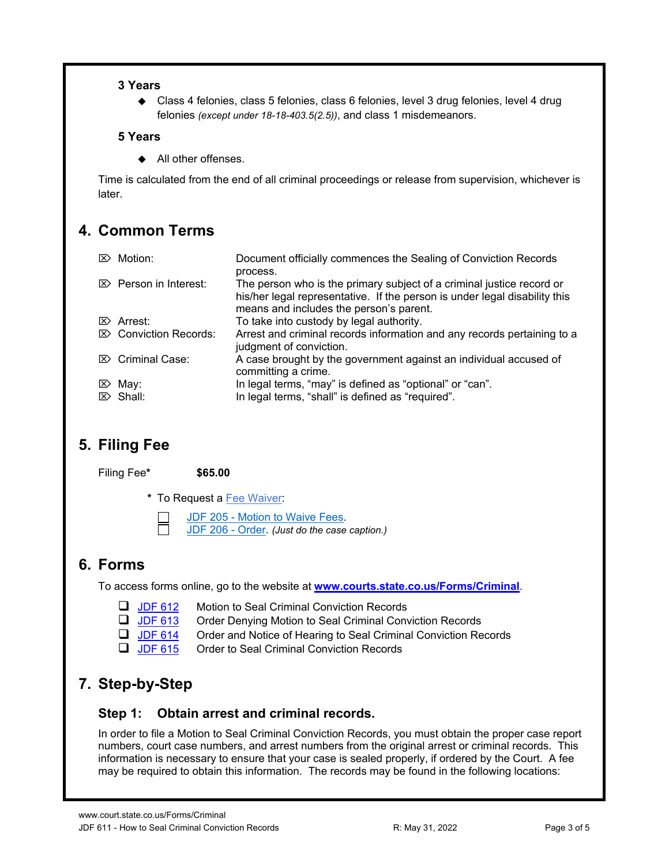### **3 Years**

 Class 4 felonies, class 5 felonies, class 6 felonies, level 3 drug felonies, level 4 drug felonies *(except under 18-18-403.5(2.5))*, and class 1 misdemeanors.

### **5 Years**

◆ All other offenses.

Time is calculated from the end of all criminal proceedings or release from supervision, whichever is later.

# <span id="page-2-0"></span>**4. Common Terms**

| $\mathbb{Z}$ Motion:             | Document officially commences the Sealing of Conviction Records<br>process.                                                                                                                    |
|----------------------------------|------------------------------------------------------------------------------------------------------------------------------------------------------------------------------------------------|
| $\mathbb{Z}$ Person in Interest: | The person who is the primary subject of a criminal justice record or<br>his/her legal representative. If the person is under legal disability this<br>means and includes the person's parent. |
| $\mathbb{Z}$ Arrest:             | To take into custody by legal authority.                                                                                                                                                       |
| $\boxtimes$ Conviction Records:  | Arrest and criminal records information and any records pertaining to a<br>judgment of conviction.                                                                                             |
| $\mathbb{Z}$ Criminal Case:      | A case brought by the government against an individual accused of<br>committing a crime.                                                                                                       |
| $\mathbb{Z}$ May:                | In legal terms, "may" is defined as "optional" or "can".                                                                                                                                       |
| $\triangleright$ Shall:          | In legal terms, "shall" is defined as "required".                                                                                                                                              |

# <span id="page-2-1"></span>**5. Filing Fee**

Filing Fee**\* \$65.00**

**\*** To Request a [Fee Waiver:](https://www.courts.state.co.us/Forms/PDF/JDF205I.pdf)

[JDF 205 - Motion to Waive Fees.](https://www.courts.state.co.us/Forms/PDF/JDF205.pdf)

[JDF 206 - Order.](https://www.courts.state.co.us/Forms/PDF/JDF206.pdf) *(Just do the case caption.)*

# <span id="page-2-2"></span>**6. Forms**

To access forms online, go to the website at **[www.courts.state.co.us/Forms/Criminal](https://www.courts.state.co.us/Forms/Criminal)**.

- **[JDF 612](https://www.courts.state.co.us/Forms/PDF/JDF612.pdf)** Motion to Seal Criminal Conviction Records
- **[JDF 613](https://www.courts.state.co.us/Forms/PDF/JDF613.pdf)** Order Denying Motion to Seal Criminal Conviction Records
- **[JDF 614](https://www.courts.state.co.us/Forms/PDF/JDF614.pdf)** Order and Notice of Hearing to Seal Criminal Conviction Records
- $\Box$  [JDF 615](https://www.courts.state.co.us/Forms/PDF/JDF615.pdf) Order to Seal Criminal Conviction Records

# <span id="page-2-3"></span>**7. Step-by-Step**

### **Step 1: Obtain arrest and criminal records.**

In order to file a Motion to Seal Criminal Conviction Records, you must obtain the proper case report numbers, court case numbers, and arrest numbers from the original arrest or criminal records. This information is necessary to ensure that your case is sealed properly, if ordered by the Court. A fee may be required to obtain this information. The records may be found in the following locations: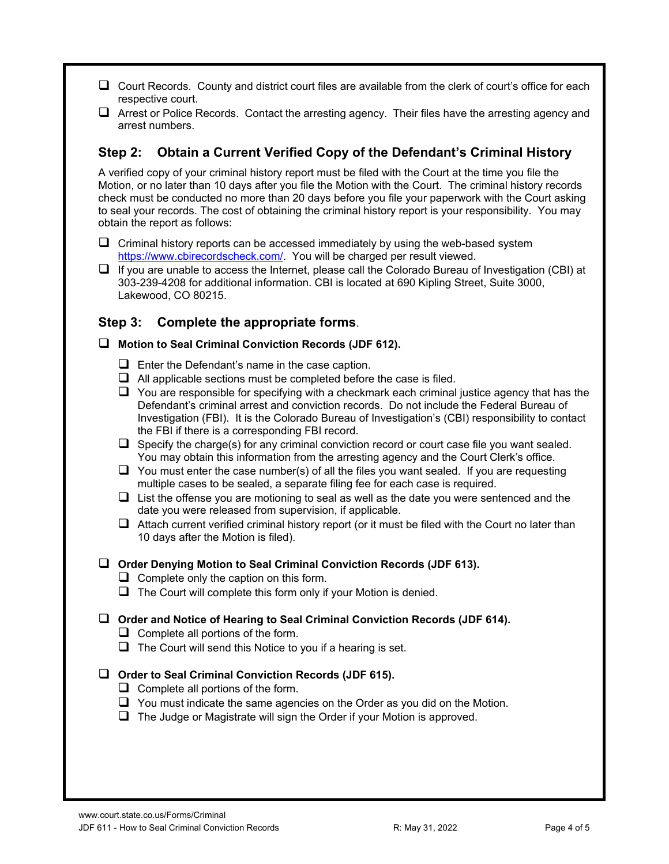- $\Box$  Court Records. County and district court files are available from the clerk of court's office for each respective court.
- $\Box$  Arrest or Police Records. Contact the arresting agency. Their files have the arresting agency and arrest numbers.

### **Step 2: Obtain a Current Verified Copy of the Defendant's Criminal History**

A verified copy of your criminal history report must be filed with the Court at the time you file the Motion, or no later than 10 days after you file the Motion with the Court. The criminal history records check must be conducted no more than 20 days before you file your paperwork with the Court asking to seal your records. The cost of obtaining the criminal history report is your responsibility. You may obtain the report as follows:

- $\Box$  Criminal history reports can be accessed immediately by using the web-based system [https://www.cbirecordscheck.com/.](https://www.cbirecordscheck.com/) You will be charged per result viewed.
- $\Box$  If you are unable to access the Internet, please call the Colorado Bureau of Investigation (CBI) at 303-239-4208 for additional information. CBI is located at 690 Kipling Street, Suite 3000, Lakewood, CO 80215.

### **Step 3: Complete the appropriate forms**.

#### **Motion to Seal Criminal Conviction Records (JDF 612).**

- $\Box$  Enter the Defendant's name in the case caption.
- $\Box$  All applicable sections must be completed before the case is filed.
- $\Box$  You are responsible for specifying with a checkmark each criminal justice agency that has the Defendant's criminal arrest and conviction records. Do not include the Federal Bureau of Investigation (FBI). It is the Colorado Bureau of Investigation's (CBI) responsibility to contact the FBI if there is a corresponding FBI record.
- $\Box$  Specify the charge(s) for any criminal conviction record or court case file you want sealed. You may obtain this information from the arresting agency and the Court Clerk's office.
- $\Box$  You must enter the case number(s) of all the files you want sealed. If you are requesting multiple cases to be sealed, a separate filing fee for each case is required.
- $\Box$  List the offense you are motioning to seal as well as the date you were sentenced and the date you were released from supervision, if applicable.
- $\Box$  Attach current verified criminal history report (or it must be filed with the Court no later than 10 days after the Motion is filed).
- **Order Denying Motion to Seal Criminal Conviction Records (JDF 613).**
	- $\Box$  Complete only the caption on this form.
	- $\Box$  The Court will complete this form only if your Motion is denied.

#### **Order and Notice of Hearing to Seal Criminal Conviction Records (JDF 614).**

- $\Box$  Complete all portions of the form.
- $\Box$  The Court will send this Notice to you if a hearing is set.

#### **Order to Seal Criminal Conviction Records (JDF 615).**

- $\Box$  Complete all portions of the form.
- $\Box$  You must indicate the same agencies on the Order as you did on the Motion.
- $\Box$  The Judge or Magistrate will sign the Order if your Motion is approved.